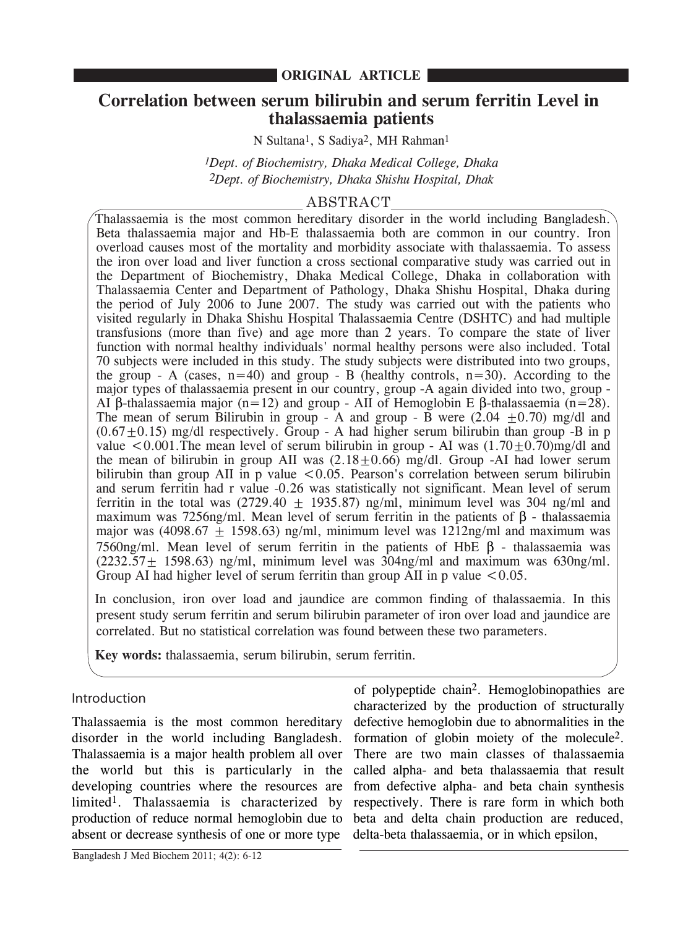# **Correlation between serum bilirubin and serum ferritin Level in thalassaemia patients**

N Sultana1, S Sadiya2, MH Rahman1

*1Dept. of Biochemistry, Dhaka Medical College, Dhaka 2Dept. of Biochemistry, Dhaka Shishu Hospital, Dhak*

# ABSTRACT

Thalassaemia is the most common hereditary disorder in the world including Bangladesh. Beta thalassaemia major and Hb-E thalassaemia both are common in our country. Iron overload causes most of the mortality and morbidity associate with thalassaemia. To assess the iron over load and liver function a cross sectional comparative study was carried out in the Department of Biochemistry, Dhaka Medical College, Dhaka in collaboration with Thalassaemia Center and Department of Pathology, Dhaka Shishu Hospital, Dhaka during the period of July 2006 to June 2007. The study was carried out with the patients who visited regularly in Dhaka Shishu Hospital Thalassaemia Centre (DSHTC) and had multiple transfusions (more than five) and age more than 2 years. To compare the state of liver function with normal healthy individuals' normal healthy persons were also included. Total 70 subjects were included in this study. The study subjects were distributed into two groups, the group - A (cases,  $n=40$ ) and group - B (healthy controls,  $n=30$ ). According to the major types of thalassaemia present in our country, group -A again divided into two, group - AI β-thalassaemia major (n=12) and group - AII of Hemoglobin E β-thalassaemia (n=28). The mean of serum Bilirubin in group - A and group - B were  $(2.04 \pm 0.70)$  mg/dl and  $(0.67\pm0.15)$  mg/dl respectively. Group - A had higher serum bilirubin than group -B in p value  $\lt$  0.001. The mean level of serum bilirubin in group - AI was  $(1.70 \pm 0.70)$ mg/dl and the mean of bilirubin in group AII was  $(2.18 \pm 0.66)$  mg/dl. Group -AI had lower serum bilirubin than group AII in p value  $\lt$  0.05. Pearson's correlation between serum bilirubin and serum ferritin had r value -0.26 was statistically not significant. Mean level of serum ferritin in the total was  $(2729.40 \pm 1935.87)$  ng/ml, minimum level was 304 ng/ml and maximum was 7256ng/ml. Mean level of serum ferritin in the patients of β - thalassaemia major was (4098.67  $\pm$  1598.63) ng/ml, minimum level was 1212ng/ml and maximum was 7560ng/ml. Mean level of serum ferritin in the patients of HbE β - thalassaemia was  $(2232.57 \pm 1598.63)$  ng/ml, minimum level was 304ng/ml and maximum was 630ng/ml. Group AI had higher level of serum ferritin than group AII in p value  $\leq 0.05$ .

In conclusion, iron over load and jaundice are common finding of thalassaemia. In this present study serum ferritin and serum bilirubin parameter of iron over load and jaundice are correlated. But no statistical correlation was found between these two parameters.

**Key words:** thalassaemia, serum bilirubin, serum ferritin.

# Introduction

the world but this is particularly in the called alpha- and beta thalassaemia that result absent or decrease synthesis of one or more type delta-beta thalassaemia, or in which epsilon, Thalassaemia is the most common hereditary disorder in the world including Bangladesh. Thalassaemia is a major health problem all over developing countries where the resources are limited1. Thalassaemia is characterized by production of reduce normal hemoglobin due to

of polypeptide chain2. Hemoglobinopathies are characterized by the production of structurally defective hemoglobin due to abnormalities in the formation of globin moiety of the molecule2. There are two main classes of thalassaemia from defective alpha- and beta chain synthesis respectively. There is rare form in which both beta and delta chain production are reduced,

Bangladesh J Med Biochem 2011; 4(2): 6-12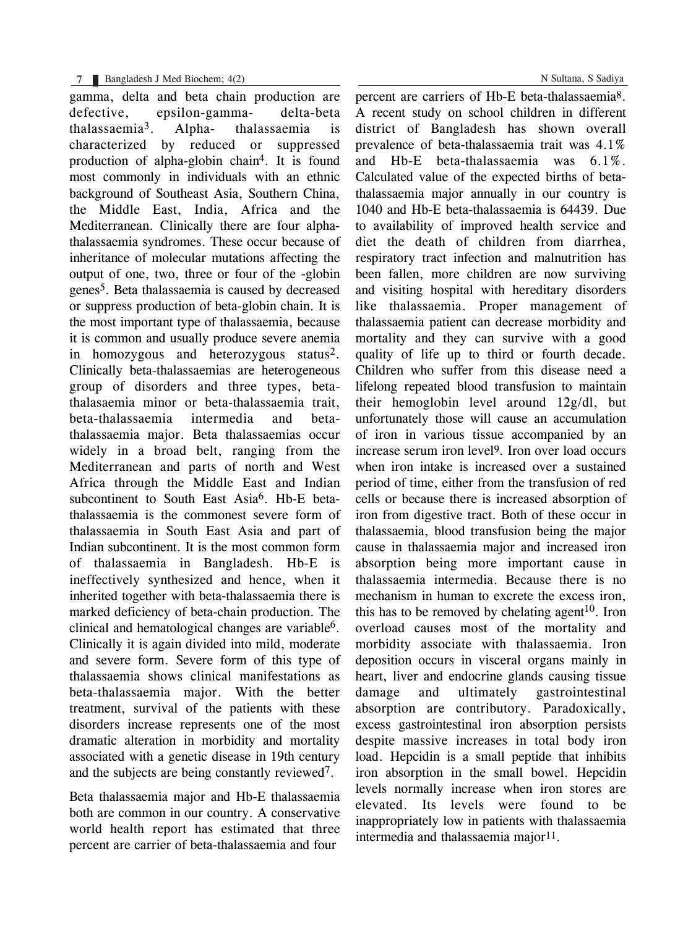gamma, delta and beta chain production are defective, epsilon-gamma- delta-beta thalassaemia3. Alpha- thalassaemia is characterized by reduced or suppressed production of alpha-globin chain4. It is found most commonly in individuals with an ethnic background of Southeast Asia, Southern China, the Middle East, India, Africa and the Mediterranean. Clinically there are four alphathalassaemia syndromes. These occur because of inheritance of molecular mutations affecting the output of one, two, three or four of the -globin genes5. Beta thalassaemia is caused by decreased or suppress production of beta-globin chain. It is the most important type of thalassaemia, because it is common and usually produce severe anemia in homozygous and heterozygous status<sup>2</sup>. Clinically beta-thalassaemias are heterogeneous group of disorders and three types, betathalasaemia minor or beta-thalassaemia trait, beta-thalassaemia intermedia and betathalassaemia major. Beta thalassaemias occur widely in a broad belt, ranging from the Mediterranean and parts of north and West Africa through the Middle East and Indian subcontinent to South East Asia<sup>6</sup>. Hb-E betathalassaemia is the commonest severe form of thalassaemia in South East Asia and part of Indian subcontinent. It is the most common form of thalassaemia in Bangladesh. Hb-E is ineffectively synthesized and hence, when it inherited together with beta-thalassaemia there is marked deficiency of beta-chain production. The clinical and hematological changes are variable $6$ . Clinically it is again divided into mild, moderate and severe form. Severe form of this type of thalassaemia shows clinical manifestations as beta-thalassaemia major. With the better treatment, survival of the patients with these disorders increase represents one of the most dramatic alteration in morbidity and mortality associated with a genetic disease in 19th century and the subjects are being constantly reviewed7.

Beta thalassaemia major and Hb-E thalassaemia both are common in our country. A conservative world health report has estimated that three percent are carrier of beta-thalassaemia and four

N Sultana, S Sadiya

percent are carriers of Hb-E beta-thalassaemia8. A recent study on school children in different district of Bangladesh has shown overall prevalence of beta-thalassaemia trait was 4.1% and Hb-E beta-thalassaemia was 6.1%. Calculated value of the expected births of betathalassaemia major annually in our country is 1040 and Hb-E beta-thalassaemia is 64439. Due to availability of improved health service and diet the death of children from diarrhea, respiratory tract infection and malnutrition has been fallen, more children are now surviving and visiting hospital with hereditary disorders like thalassaemia. Proper management of thalassaemia patient can decrease morbidity and mortality and they can survive with a good quality of life up to third or fourth decade. Children who suffer from this disease need a lifelong repeated blood transfusion to maintain their hemoglobin level around 12g/dl, but unfortunately those will cause an accumulation of iron in various tissue accompanied by an increase serum iron level9. Iron over load occurs when iron intake is increased over a sustained period of time, either from the transfusion of red cells or because there is increased absorption of iron from digestive tract. Both of these occur in thalassaemia, blood transfusion being the major cause in thalassaemia major and increased iron absorption being more important cause in thalassaemia intermedia. Because there is no mechanism in human to excrete the excess iron, this has to be removed by chelating agent<sup>10</sup>. Iron overload causes most of the mortality and morbidity associate with thalassaemia. Iron deposition occurs in visceral organs mainly in heart, liver and endocrine glands causing tissue damage and ultimately gastrointestinal absorption are contributory. Paradoxically, excess gastrointestinal iron absorption persists despite massive increases in total body iron load. Hepcidin is a small peptide that inhibits iron absorption in the small bowel. Hepcidin levels normally increase when iron stores are elevated. Its levels were found to be inappropriately low in patients with thalassaemia intermedia and thalassaemia major<sup>11</sup>.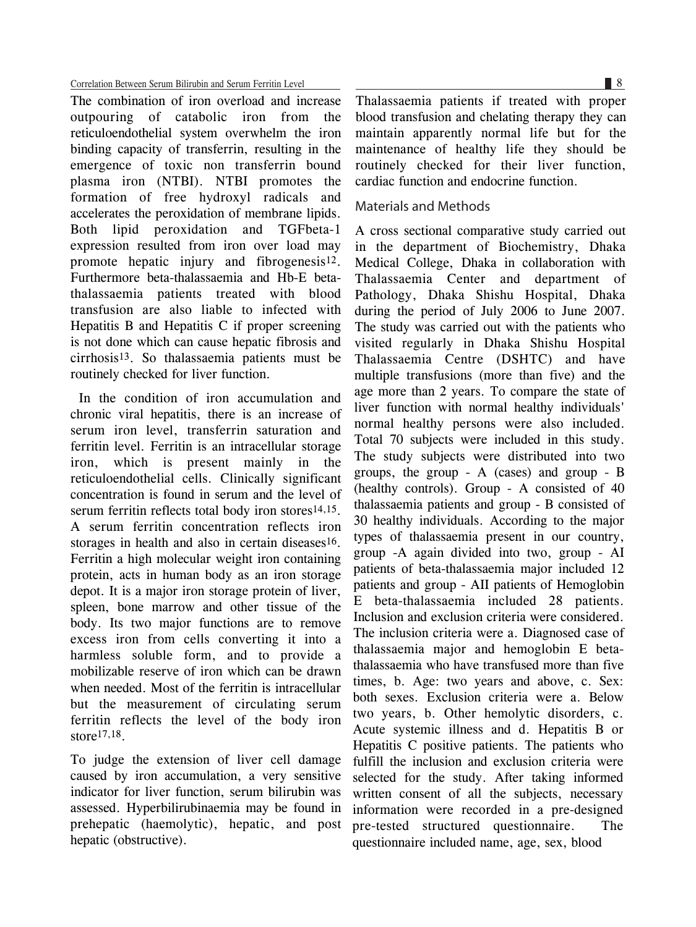#### Correlation Between Serum Bilirubin and Serum Ferritin Level

The combination of iron overload and increase outpouring of catabolic iron from the reticuloendothelial system overwhelm the iron binding capacity of transferrin, resulting in the emergence of toxic non transferrin bound plasma iron (NTBI). NTBI promotes the formation of free hydroxyl radicals and accelerates the peroxidation of membrane lipids. Both lipid peroxidation and TGFbeta-1 expression resulted from iron over load may promote hepatic injury and fibrogenesis12. Furthermore beta-thalassaemia and Hb-E betathalassaemia patients treated with blood transfusion are also liable to infected with Hepatitis B and Hepatitis C if proper screening is not done which can cause hepatic fibrosis and cirrhosis13. So thalassaemia patients must be routinely checked for liver function.

In the condition of iron accumulation and chronic viral hepatitis, there is an increase of serum iron level, transferrin saturation and ferritin level. Ferritin is an intracellular storage iron, which is present mainly in the reticuloendothelial cells. Clinically significant concentration is found in serum and the level of serum ferritin reflects total body iron stores<sup>14,15</sup>. A serum ferritin concentration reflects iron storages in health and also in certain diseases $16$ . Ferritin a high molecular weight iron containing protein, acts in human body as an iron storage depot. It is a major iron storage protein of liver, spleen, bone marrow and other tissue of the body. Its two major functions are to remove excess iron from cells converting it into a harmless soluble form, and to provide a mobilizable reserve of iron which can be drawn when needed. Most of the ferritin is intracellular but the measurement of circulating serum ferritin reflects the level of the body iron store17,18.

To judge the extension of liver cell damage caused by iron accumulation, a very sensitive indicator for liver function, serum bilirubin was assessed. Hyperbilirubinaemia may be found in prehepatic (haemolytic), hepatic, and post hepatic (obstructive).

Thalassaemia patients if treated with proper blood transfusion and chelating therapy they can maintain apparently normal life but for the maintenance of healthy life they should be routinely checked for their liver function, cardiac function and endocrine function.

## Materials and Methods

A cross sectional comparative study carried out in the department of Biochemistry, Dhaka Medical College, Dhaka in collaboration with Thalassaemia Center and department of Pathology, Dhaka Shishu Hospital, Dhaka during the period of July 2006 to June 2007. The study was carried out with the patients who visited regularly in Dhaka Shishu Hospital Thalassaemia Centre (DSHTC) and have multiple transfusions (more than five) and the age more than 2 years. To compare the state of liver function with normal healthy individuals' normal healthy persons were also included. Total 70 subjects were included in this study. The study subjects were distributed into two groups, the group - A (cases) and group - B (healthy controls). Group - A consisted of 40 thalassaemia patients and group - B consisted of 30 healthy individuals. According to the major types of thalassaemia present in our country, group -A again divided into two, group - AI patients of beta-thalassaemia major included 12 patients and group - AII patients of Hemoglobin E beta-thalassaemia included 28 patients. Inclusion and exclusion criteria were considered. The inclusion criteria were a. Diagnosed case of thalassaemia major and hemoglobin E betathalassaemia who have transfused more than five times, b. Age: two years and above, c. Sex: both sexes. Exclusion criteria were a. Below two years, b. Other hemolytic disorders, c. Acute systemic illness and d. Hepatitis B or Hepatitis C positive patients. The patients who fulfill the inclusion and exclusion criteria were selected for the study. After taking informed written consent of all the subjects, necessary information were recorded in a pre-designed pre-tested structured questionnaire. The questionnaire included name, age, sex, blood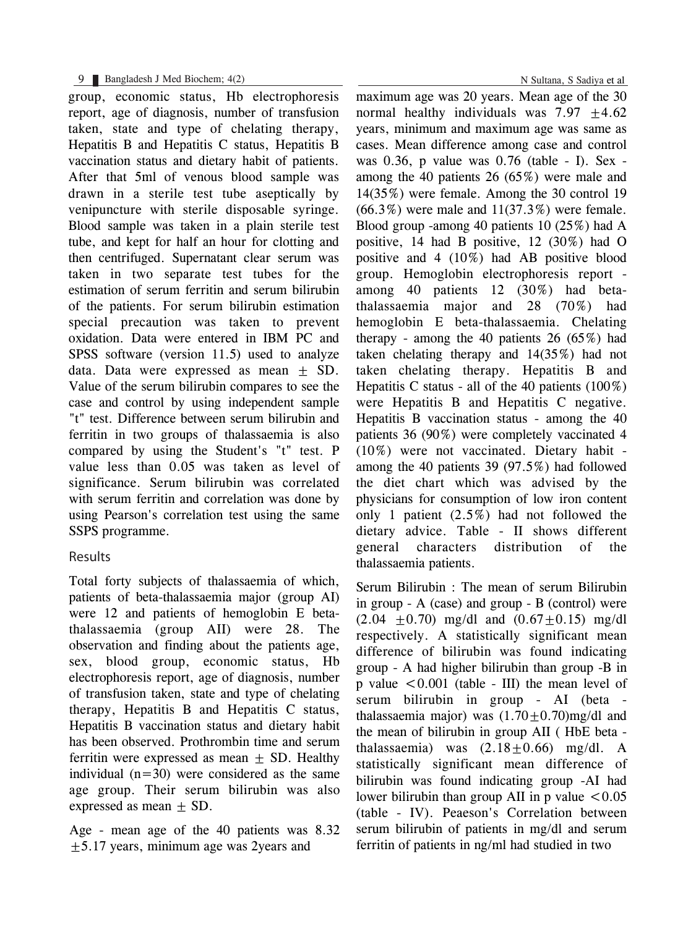## 9 Bangladesh J Med Biochem; 4(2)

group, economic status, Hb electrophoresis report, age of diagnosis, number of transfusion taken, state and type of chelating therapy, Hepatitis B and Hepatitis C status, Hepatitis B vaccination status and dietary habit of patients. After that 5ml of venous blood sample was drawn in a sterile test tube aseptically by venipuncture with sterile disposable syringe. Blood sample was taken in a plain sterile test tube, and kept for half an hour for clotting and then centrifuged. Supernatant clear serum was taken in two separate test tubes for the estimation of serum ferritin and serum bilirubin of the patients. For serum bilirubin estimation special precaution was taken to prevent oxidation. Data were entered in IBM PC and SPSS software (version 11.5) used to analyze data. Data were expressed as mean  $\pm$  SD. Value of the serum bilirubin compares to see the case and control by using independent sample "t" test. Difference between serum bilirubin and ferritin in two groups of thalassaemia is also compared by using the Student's "t" test. P value less than 0.05 was taken as level of significance. Serum bilirubin was correlated with serum ferritin and correlation was done by using Pearson's correlation test using the same SSPS programme.

# Results

Total forty subjects of thalassaemia of which, patients of beta-thalassaemia major (group AI) were 12 and patients of hemoglobin E betathalassaemia (group AII) were 28. The observation and finding about the patients age, sex, blood group, economic status, Hb electrophoresis report, age of diagnosis, number of transfusion taken, state and type of chelating therapy, Hepatitis B and Hepatitis C status, Hepatitis B vaccination status and dietary habit has been observed. Prothrombin time and serum ferritin were expressed as mean  $+$  SD. Healthy individual  $(n=30)$  were considered as the same age group. Their serum bilirubin was also expressed as mean  $+$  SD.

Age - mean age of the 40 patients was 8.32  $\pm$  5.17 years, minimum age was 2years and

N Sultana, S Sadiya et al

maximum age was 20 years. Mean age of the 30 normal healthy individuals was  $7.97 +4.62$ years, minimum and maximum age was same as cases. Mean difference among case and control was 0.36, p value was 0.76 (table - I). Sex among the 40 patients 26 (65%) were male and 14(35%) were female. Among the 30 control 19  $(66.3\%)$  were male and  $11(37.3\%)$  were female. Blood group -among 40 patients 10 (25%) had A positive, 14 had B positive, 12 (30%) had O positive and 4 (10%) had AB positive blood group. Hemoglobin electrophoresis report among 40 patients 12 (30%) had betathalassaemia major and 28 (70%) had hemoglobin E beta-thalassaemia. Chelating therapy - among the 40 patients  $26 (65%)$  had taken chelating therapy and 14(35%) had not taken chelating therapy. Hepatitis B and Hepatitis C status - all of the 40 patients  $(100\%)$ were Hepatitis B and Hepatitis C negative. Hepatitis B vaccination status - among the 40 patients 36 (90%) were completely vaccinated 4 (10%) were not vaccinated. Dietary habit among the 40 patients 39 (97.5%) had followed the diet chart which was advised by the physicians for consumption of low iron content only 1 patient (2.5%) had not followed the dietary advice. Table - II shows different general characters distribution of the thalassaemia patients.

Serum Bilirubin : The mean of serum Bilirubin in group - A (case) and group - B (control) were  $(2.04 \pm 0.70)$  mg/dl and  $(0.67 \pm 0.15)$  mg/dl respectively. A statistically significant mean difference of bilirubin was found indicating group - A had higher bilirubin than group -B in p value  $\leq 0.001$  (table - III) the mean level of serum bilirubin in group - AI (beta thalassaemia major) was  $(1.70 \pm 0.70)$ mg/dl and the mean of bilirubin in group AII ( HbE beta thalassaemia) was  $(2.18+0.66)$  mg/dl. A statistically significant mean difference of bilirubin was found indicating group -AI had lower bilirubin than group AII in p value  $\leq 0.05$ (table - IV). Peaeson's Correlation between serum bilirubin of patients in mg/dl and serum ferritin of patients in ng/ml had studied in two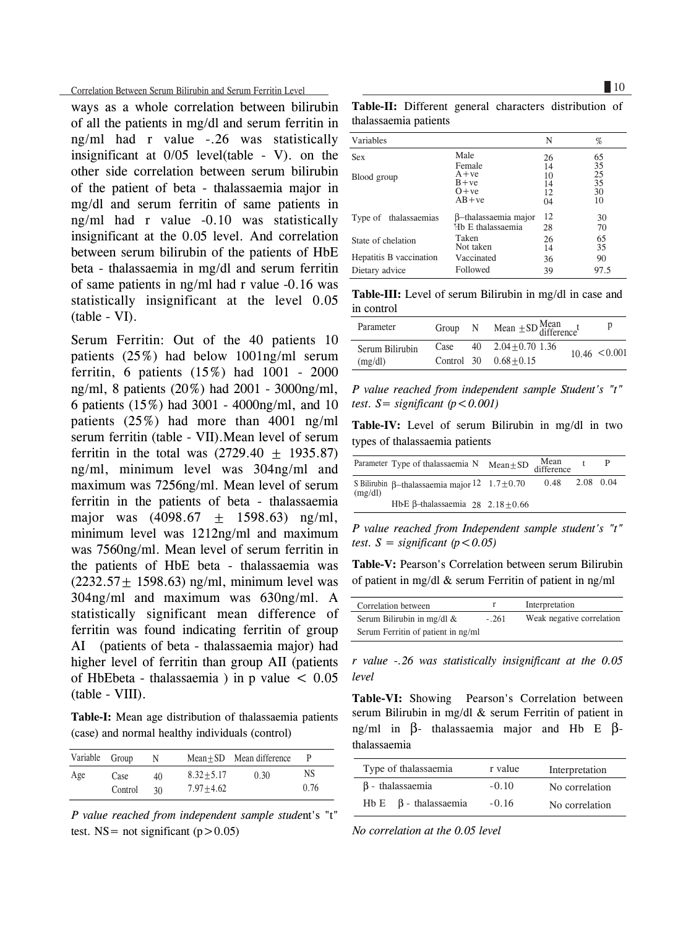Correlation Between Serum Bilirubin and Serum Ferritin Level

ways as a whole correlation between bilirubin of all the patients in mg/dl and serum ferritin in ng/ml had r value -.26 was statistically insignificant at 0/05 level(table - V). on the other side correlation between serum bilirubin of the patient of beta - thalassaemia major in mg/dl and serum ferritin of same patients in ng/ml had r value -0.10 was statistically insignificant at the 0.05 level. And correlation between serum bilirubin of the patients of HbE beta - thalassaemia in mg/dl and serum ferritin of same patients in ng/ml had r value -0.16 was statistically insignificant at the level 0.05 (table - VI).

Serum Ferritin: Out of the 40 patients 10 patients (25%) had below 1001ng/ml serum ferritin, 6 patients (15%) had 1001 - 2000 ng/ml, 8 patients (20%) had 2001 - 3000ng/ml, 6 patients (15%) had 3001 - 4000ng/ml, and 10 patients (25%) had more than 4001 ng/ml serum ferritin (table - VII).Mean level of serum ferritin in the total was  $(2729.40 \pm 1935.87)$ ng/ml, minimum level was 304ng/ml and maximum was 7256ng/ml. Mean level of serum ferritin in the patients of beta - thalassaemia major was  $(4098.67 + 1598.63)$  ng/ml, minimum level was 1212ng/ml and maximum was 7560ng/ml. Mean level of serum ferritin in the patients of HbE beta - thalassaemia was  $(2232.57 \pm 1598.63)$  ng/ml, minimum level was 304ng/ml and maximum was 630ng/ml. A statistically significant mean difference of ferritin was found indicating ferritin of group AI (patients of beta - thalassaemia major) had higher level of ferritin than group AII (patients of HbEbeta - thalassaemia) in p value  $\leq 0.05$ (table - VIII).

**Table-I:** Mean age distribution of thalassaemia patients (case) and normal healthy individuals (control)

| Variable Group |                 | N        |                                | Mean+SD Mean difference | P          |
|----------------|-----------------|----------|--------------------------------|-------------------------|------------|
| Age            | Case<br>Control | 40<br>30 | $8.32 + 5.17$<br>$7.97 + 4.62$ | 0.30                    | NS<br>0.76 |

*P value reached from independent sample stude*nt's "t" test. NS = not significant  $(p>0.05)$ 

**Table-II:** Different general characters distribution of thalassaemia patients

| Variables               |                      | N  | %    |
|-------------------------|----------------------|----|------|
| <b>Sex</b>              | Male                 | 26 | 65   |
|                         | Female               | 14 | 35   |
| Blood group             | $A + ve$             | 10 | 25   |
|                         | $B + ve$             | 14 | 35   |
|                         | $O+ve$               | 12 | 30   |
|                         | $AB + ve$            | 04 | 10   |
| Type of thalassaemias   | β-thalassaemia major | 12 | 30   |
|                         | Hb E thalassaemia    | 28 | 70   |
| State of chelation      | Taken                | 26 | 65   |
|                         | Not taken            | 14 | 35   |
| Hepatitis B vaccination | Vaccinated           | 36 | 90   |
| Dietary advice          | Followed             | 39 | 97.5 |

**Table-III:** Level of serum Bilirubin in mg/dl in case and in control

| Parameter       | Group | N  | Mean $\pm$ SD $\frac{\text{Mean}}{\text{difference}}$ t | p                 |
|-----------------|-------|----|---------------------------------------------------------|-------------------|
| Serum Bilirubin | Case  | 40 | $2.04 + 0.70$ 1.36                                      | $10.46 \le 0.001$ |
| (mg/dl)         |       |    | Control $30 \t 0.68 + 0.15$                             |                   |

*P value reached from independent sample Student's "t" test.*  $S =$  *significant*  $(p < 0.001)$ 

**Table-IV:** Level of serum Bilirubin in mg/dl in two types of thalassaemia patients

|         | Parameter Type of thalassaemia N                      | Mean $\pm$ SD $\frac{\text{Mean}}{\text{difference}}$ |      |           |  |
|---------|-------------------------------------------------------|-------------------------------------------------------|------|-----------|--|
| (mg/dl) | S Bilirubin $\beta$ -thalassaemia major 12 1.7 ± 0.70 |                                                       | 0.48 | 2.08 0.04 |  |
|         | HbE $\beta$ -thalassaemia 28 2.18 + 0.66              |                                                       |      |           |  |

*P value reached from Independent sample student's "t" test.*  $S =$  *significant* ( $p < 0.05$ )

**Table-V:** Pearson's Correlation between serum Bilirubin of patient in mg/dl & serum Ferritin of patient in ng/ml

| Correlation between                |         | Interpretation            |
|------------------------------------|---------|---------------------------|
|                                    |         |                           |
| Serum Bilirubin in mg/dl $\&$      | $-.261$ | Weak negative correlation |
| Serum Ferritin of patient in ng/ml |         |                           |

*r value -.26 was statistically insignificant at the 0.05 level*

Table-VI: Showing Pearson's Correlation between serum Bilirubin in mg/dl & serum Ferritin of patient in ng/ml in β- thalassaemia major and Hb E βthalassaemia

| Type of thalassaemia          | r value | Interpretation |
|-------------------------------|---------|----------------|
| $\beta$ - thalassaemia        | $-0.10$ | No correlation |
| $Hb E$ $\beta$ - thalassaemia | $-0.16$ | No correlation |

*No correlation at the 0.05 level*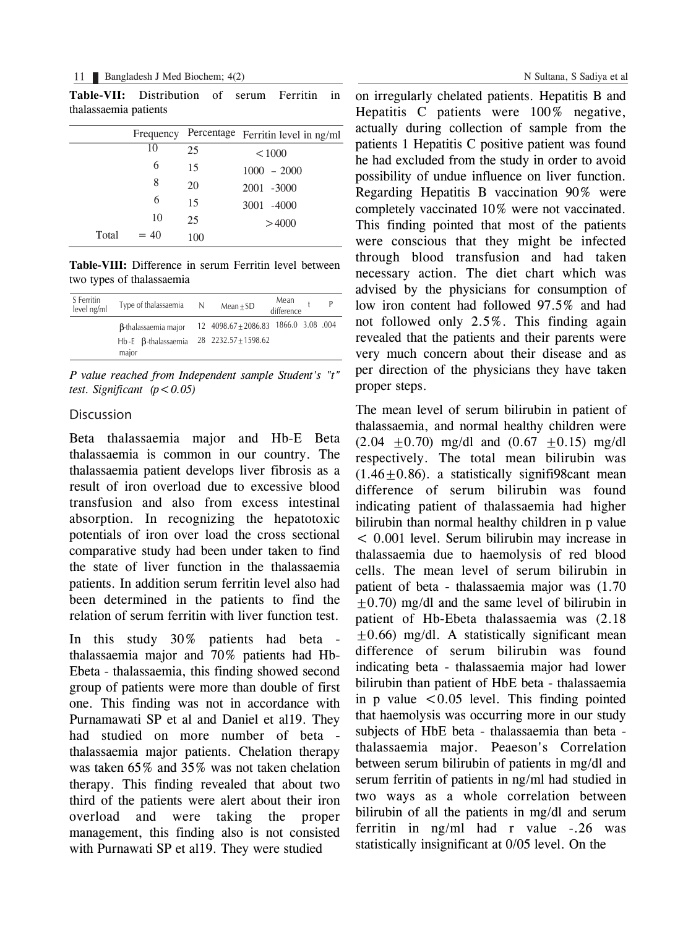#### 11 Bangladesh J Med Biochem; 4(2)

**Table-VII:** Distribution of serum Ferritin in thalassaemia patients

|       | Frequency |     | Percentage Ferritin level in ng/ml |
|-------|-----------|-----|------------------------------------|
|       | 10        | 25  | < 1000                             |
|       | 6         | 15  | $1000 - 2000$                      |
|       | 8         | 20  | 2001 -3000                         |
|       | 6         | 15  | 3001 -4000                         |
|       | 10        | 25  | >4000                              |
| Total | $= 40$    | 100 |                                    |

**Table-VIII:** Difference in serum Ferritin level between two types of thalassaemia

| S Ferritin<br>level ng/ml | Type of thalassaemia                  | N. | Mean<br>P<br>$Mean + SD$<br>difference |
|---------------------------|---------------------------------------|----|----------------------------------------|
|                           | <b>B-thalassaemia major</b>           |    | 12 4098.67 ± 2086.83 1866.0 3.08 .004  |
|                           | $Hb-E$ $\beta$ -thalassaemia<br>major |    | 28 2232.57 + 1598.62                   |

*P value reached from Independent sample Student's "t" test. Significant*  $(p < 0.05)$ 

### Discussion

Beta thalassaemia major and Hb-E Beta thalassaemia is common in our country. The thalassaemia patient develops liver fibrosis as a result of iron overload due to excessive blood transfusion and also from excess intestinal absorption. In recognizing the hepatotoxic potentials of iron over load the cross sectional comparative study had been under taken to find the state of liver function in the thalassaemia patients. In addition serum ferritin level also had been determined in the patients to find the relation of serum ferritin with liver function test.

In this study 30% patients had beta thalassaemia major and 70% patients had Hb-Ebeta - thalassaemia, this finding showed second group of patients were more than double of first one. This finding was not in accordance with Purnamawati SP et al and Daniel et al19. They had studied on more number of beta thalassaemia major patients. Chelation therapy was taken 65% and 35% was not taken chelation therapy. This finding revealed that about two third of the patients were alert about their iron overload and were taking the proper management, this finding also is not consisted with Purnawati SP et al19. They were studied

on irregularly chelated patients. Hepatitis B and Hepatitis C patients were 100% negative, actually during collection of sample from the patients 1 Hepatitis C positive patient was found he had excluded from the study in order to avoid possibility of undue influence on liver function. Regarding Hepatitis B vaccination 90% were completely vaccinated 10% were not vaccinated. This finding pointed that most of the patients were conscious that they might be infected through blood transfusion and had taken necessary action. The diet chart which was advised by the physicians for consumption of low iron content had followed 97.5% and had not followed only 2.5%. This finding again revealed that the patients and their parents were very much concern about their disease and as per direction of the physicians they have taken proper steps.

The mean level of serum bilirubin in patient of thalassaemia, and normal healthy children were  $(2.04 \pm 0.70)$  mg/dl and  $(0.67 \pm 0.15)$  mg/dl respectively. The total mean bilirubin was  $(1.46+0.86)$ . a statistically signifigscant mean difference of serum bilirubin was found indicating patient of thalassaemia had higher bilirubin than normal healthy children in p value < 0.001 level. Serum bilirubin may increase in thalassaemia due to haemolysis of red blood cells. The mean level of serum bilirubin in patient of beta - thalassaemia major was (1.70  $\pm$ 0.70) mg/dl and the same level of bilirubin in patient of Hb-Ebeta thalassaemia was (2.18  $\pm 0.66$ ) mg/dl. A statistically significant mean difference of serum bilirubin was found indicating beta - thalassaemia major had lower bilirubin than patient of HbE beta - thalassaemia in p value  $\leq 0.05$  level. This finding pointed that haemolysis was occurring more in our study subjects of HbE beta - thalassaemia than beta thalassaemia major. Peaeson's Correlation between serum bilirubin of patients in mg/dl and serum ferritin of patients in ng/ml had studied in two ways as a whole correlation between bilirubin of all the patients in mg/dl and serum ferritin in ng/ml had r value -.26 was statistically insignificant at 0/05 level. On the